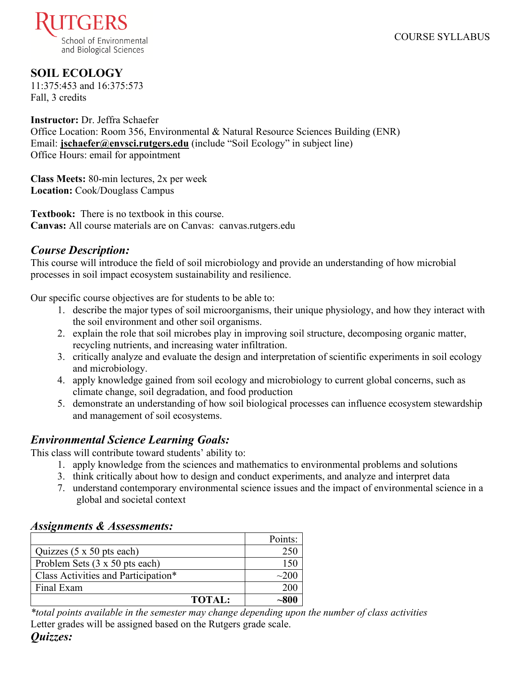

# **SOIL ECOLOGY**

11:375:453 and 16:375:573 Fall, 3 credits

**Instructor:** Dr. Jeffra Schaefer Office Location: Room 356, Environmental & Natural Resource Sciences Building (ENR) Email: **[jschaefer@envsci.rutgers.edu](mailto:jschaefer@envsci.rutgers.edu)** (include "Soil Ecology" in subject line) Office Hours: email for appointment

**Class Meets:** 80-min lectures, 2x per week **Location:** Cook/Douglass Campus

**Textbook:** There is no textbook in this course. **Canvas:** All course materials are on Canvas: canvas.rutgers.edu

# *Course Description:*

This course will introduce the field of soil microbiology and provide an understanding of how microbial processes in soil impact ecosystem sustainability and resilience.

Our specific course objectives are for students to be able to:

- 1. describe the major types of soil microorganisms, their unique physiology, and how they interact with the soil environment and other soil organisms.
- 2. explain the role that soil microbes play in improving soil structure, decomposing organic matter, recycling nutrients, and increasing water infiltration.
- 3. critically analyze and evaluate the design and interpretation of scientific experiments in soil ecology and microbiology.
- 4. apply knowledge gained from soil ecology and microbiology to current global concerns, such as climate change, soil degradation, and food production
- 5. demonstrate an understanding of how soil biological processes can influence ecosystem stewardship and management of soil ecosystems.

# *Environmental Science Learning Goals:*

This class will contribute toward students' ability to:

- 1. apply knowledge from the sciences and mathematics to environmental problems and solutions
- 3. think critically about how to design and conduct experiments, and analyze and interpret data
- 7. understand contemporary environmental science issues and the impact of environmental science in a global and societal context

## *Assignments & Assessments:*

|                                     | Points:    |
|-------------------------------------|------------|
| Quizzes $(5 \times 50)$ pts each)   |            |
| Problem Sets (3 x 50 pts each)      |            |
| Class Activities and Participation* | $\sim$ 200 |
| Final Exam                          | 200        |
| <b>TOTAL:</b>                       |            |

*\*total points available in the semester may change depending upon the number of class activities* Letter grades will be assigned based on the Rutgers grade scale.

# *Quizzes:*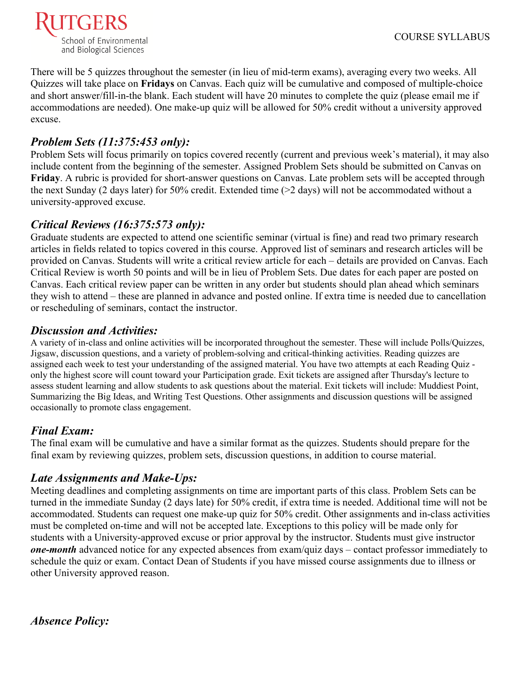

There will be 5 quizzes throughout the semester (in lieu of mid-term exams), averaging every two weeks. All Quizzes will take place on **Fridays** on Canvas. Each quiz will be cumulative and composed of multiple-choice and short answer/fill-in-the blank. Each student will have 20 minutes to complete the quiz (please email me if accommodations are needed). One make-up quiz will be allowed for 50% credit without a university approved excuse.

# *Problem Sets (11:375:453 only):*

Problem Sets will focus primarily on topics covered recently (current and previous week's material), it may also include content from the beginning of the semester. Assigned Problem Sets should be submitted on Canvas on **Friday**. A rubric is provided for short-answer questions on Canvas. Late problem sets will be accepted through the next Sunday (2 days later) for 50% credit. Extended time (>2 days) will not be accommodated without a university-approved excuse.

## *Critical Reviews (16:375:573 only):*

Graduate students are expected to attend one scientific seminar (virtual is fine) and read two primary research articles in fields related to topics covered in this course. Approved list of seminars and research articles will be provided on Canvas. Students will write a critical review article for each – details are provided on Canvas. Each Critical Review is worth 50 points and will be in lieu of Problem Sets. Due dates for each paper are posted on Canvas. Each critical review paper can be written in any order but students should plan ahead which seminars they wish to attend – these are planned in advance and posted online. If extra time is needed due to cancellation or rescheduling of seminars, contact the instructor.

# *Discussion and Activities:*

A variety of in-class and online activities will be incorporated throughout the semester. These will include Polls/Quizzes, Jigsaw, discussion questions, and a variety of problem-solving and critical-thinking activities. Reading quizzes are assigned each week to test your understanding of the assigned material. You have two attempts at each Reading Quiz only the highest score will count toward your Participation grade. Exit tickets are assigned after Thursday's lecture to assess student learning and allow students to ask questions about the material. Exit tickets will include: Muddiest Point, Summarizing the Big Ideas, and Writing Test Questions. Other assignments and discussion questions will be assigned occasionally to promote class engagement.

# *Final Exam:*

The final exam will be cumulative and have a similar format as the quizzes. Students should prepare for the final exam by reviewing quizzes, problem sets, discussion questions, in addition to course material.

# *Late Assignments and Make-Ups:*

Meeting deadlines and completing assignments on time are important parts of this class. Problem Sets can be turned in the immediate Sunday (2 days late) for 50% credit, if extra time is needed. Additional time will not be accommodated. Students can request one make-up quiz for 50% credit. Other assignments and in-class activities must be completed on-time and will not be accepted late. Exceptions to this policy will be made only for students with a University-approved excuse or prior approval by the instructor. Students must give instructor *one-month* advanced notice for any expected absences from exam/quiz days – contact professor immediately to schedule the quiz or exam. Contact Dean of Students if you have missed course assignments due to illness or other University approved reason.

*Absence Policy:*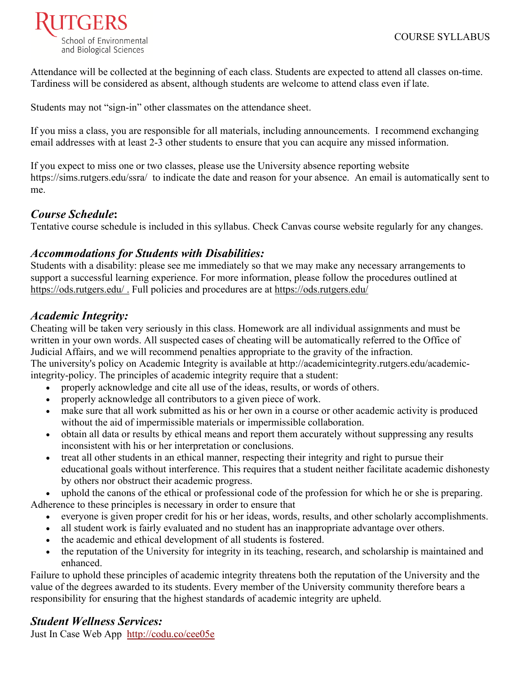

Attendance will be collected at the beginning of each class. Students are expected to attend all classes on-time. Tardiness will be considered as absent, although students are welcome to attend class even if late.

Students may not "sign-in" other classmates on the attendance sheet.

If you miss a class, you are responsible for all materials, including announcements. I recommend exchanging email addresses with at least 2-3 other students to ensure that you can acquire any missed information.

If you expect to miss one or two classes, please use the University absence reporting website https://sims.rutgers.edu/ssra/ to indicate the date and reason for your absence. An email is automatically sent to me.

### *Course Schedule***:**

Tentative course schedule is included in this syllabus. Check Canvas course website regularly for any changes.

## *Accommodations for Students with Disabilities:*

Students with a disability: please see me immediately so that we may make any necessary arrangements to support a successful learning experience. For more information, please follow the procedures outlined at <https://ods.rutgers.edu/>. Full policies and procedures are at<https://ods.rutgers.edu/>

# *Academic Integrity:*

Cheating will be taken very seriously in this class. Homework are all individual assignments and must be written in your own words. All suspected cases of cheating will be automatically referred to the Office of Judicial Affairs, and we will recommend penalties appropriate to the gravity of the infraction. The university's policy on Academic Integrity is available at [http://academicintegrity.rutgers.edu/academic-](http://academicintegrity.rutgers.edu/academic-integrity-policy)

[integrity-policy.](http://academicintegrity.rutgers.edu/academic-integrity-policy) The principles of academic integrity require that a student:

- properly acknowledge and cite all use of the ideas, results, or words of others.
- properly acknowledge all contributors to a given piece of work.
- make sure that all work submitted as his or her own in a course or other academic activity is produced without the aid of impermissible materials or impermissible collaboration.
- obtain all data or results by ethical means and report them accurately without suppressing any results inconsistent with his or her interpretation or conclusions.
- treat all other students in an ethical manner, respecting their integrity and right to pursue their educational goals without interference. This requires that a student neither facilitate academic dishonesty by others nor obstruct their academic progress.

uphold the canons of the ethical or professional code of the profession for which he or she is preparing. Adherence to these principles is necessary in order to ensure that

- everyone is given proper credit for his or her ideas, words, results, and other scholarly accomplishments.
- all student work is fairly evaluated and no student has an inappropriate advantage over others.
- the academic and ethical development of all students is fostered.
- the reputation of the University for integrity in its teaching, research, and scholarship is maintained and enhanced.

Failure to uphold these principles of academic integrity threatens both the reputation of the University and the value of the degrees awarded to its students. Every member of the University community therefore bears a responsibility for ensuring that the highest standards of academic integrity are upheld.

# *Student Wellness Services:*

[Just In Case Web App](http://m.appcreatorpro.com/m/rutgers/fda9f59ca5/fda9f59ca5.html) http://codu.co/cee05e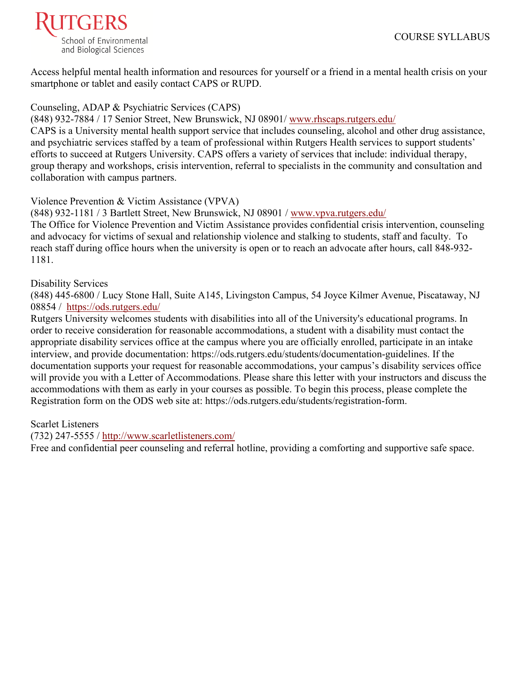

Access helpful mental health information and resources for yourself or a friend in a mental health crisis on your smartphone or tablet and easily contact CAPS or RUPD.

#### Counseling, ADAP & Psychiatric Services (CAPS)

(848) 932-7884 / 17 Senior Street, New Brunswick, NJ 08901/ [www.rhscaps.rutgers.edu/](http://www.rhscaps.rutgers.edu/) 

CAPS is a University mental health support service that includes counseling, alcohol and other drug assistance, and psychiatric services staffed by a team of professional within Rutgers Health services to support students' efforts to succeed at Rutgers University. CAPS offers a variety of services that include: individual therapy, group therapy and workshops, crisis intervention, referral to specialists in the community and consultation and collaboration with campus partners.

#### Violence Prevention & Victim Assistance (VPVA)

(848) 932-1181 / 3 Bartlett Street, New Brunswick, NJ 08901 / [www.vpva.rutgers.edu/](http://www.vpva.rutgers.edu/) 

The Office for Violence Prevention and Victim Assistance provides confidential crisis intervention, counseling and advocacy for victims of sexual and relationship violence and stalking to students, staff and faculty. To reach staff during office hours when the university is open or to reach an advocate after hours, call 848-932- 1181.

#### Disability Services

(848) 445-6800 / Lucy Stone Hall, Suite A145, Livingston Campus, 54 Joyce Kilmer Avenue, Piscataway, NJ 08854 / <https://ods.rutgers.edu/>

Rutgers University welcomes students with disabilities into all of the University's educational programs. In order to receive consideration for reasonable accommodations, a student with a disability must contact the appropriate disability services office at the campus where you are officially enrolled, participate in an intake interview, and provide documentation: [https://ods.rutgers.edu/students/documentation-guidelines.](https://ods.rutgers.edu/students/documentation-guidelines) If the documentation supports your request for reasonable accommodations, your campus's disability services office will provide you with a Letter of Accommodations. Please share this letter with your instructors and discuss the accommodations with them as early in your courses as possible. To begin this process, please complete the Registration form on the ODS web site at: [https://ods.rutgers.edu/students/registration-form.](https://ods.rutgers.edu/students/registration-form)

#### Scarlet Listeners

(732) 247-5555 /<http://www.scarletlisteners.com/>

Free and confidential peer counseling and referral hotline, providing a comforting and supportive safe space.